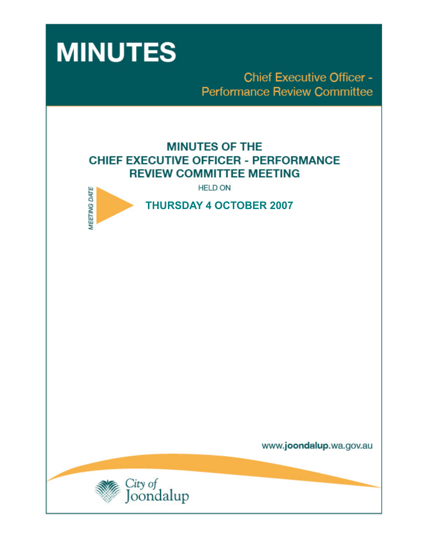

**Chief Executive Officer -Performance Review Committee** 

# **MINUTES OF THE CHIEF EXECUTIVE OFFICER - PERFORMANCE REVIEW COMMITTEE MEETING**

**HELD ON** 



 **THURSDAY 4 OCTOBER 2007** 

www.joondalup.wa.gov.au

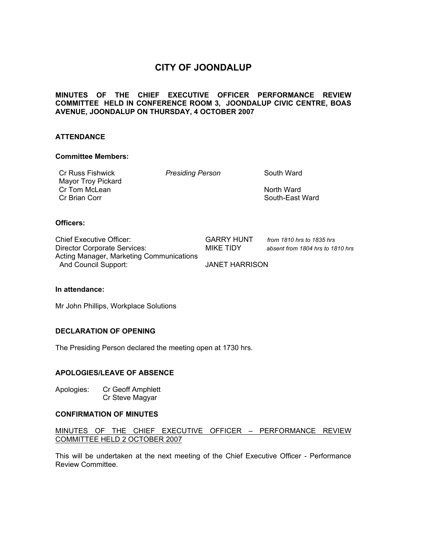## **CITY OF JOONDALUP**

## **MINUTES OF THE CHIEF EXECUTIVE OFFICER PERFORMANCE REVIEW COMMITTEE HELD IN CONFERENCE ROOM 3, JOONDALUP CIVIC CENTRE, BOAS AVENUE, JOONDALUP ON THURSDAY, 4 OCTOBER 2007**

## **ATTENDANCE**

## **Committee Members:**

Cr Russ Fishwick *Presiding Person* South Ward Mayor Troy Pickard Cr Tom McLean North Ward **Cr Brian Corr South-East Ward South-East Ward South-East Ward** 

## **Officers:**

Chief Executive Officer: GARRY HUNT *from 1810 hrs to 1835 hrs*  Director Corporate Services: MIKE TIDY *absent from 1804 hrs to 1810 hrs*  Acting Manager, Marketing Communications And Council Support: JANET HARRISON

#### **In attendance:**

Mr John Phillips, Workplace Solutions

## **DECLARATION OF OPENING**

The Presiding Person declared the meeting open at 1730 hrs.

## **APOLOGIES/LEAVE OF ABSENCE**

Apologies: Cr Geoff Amphlett Cr Steve Magyar

## **CONFIRMATION OF MINUTES**

## MINUTES OF THE CHIEF EXECUTIVE OFFICER – PERFORMANCE REVIEW COMMITTEE HELD 2 OCTOBER 2007

This will be undertaken at the next meeting of the Chief Executive Officer - Performance Review Committee.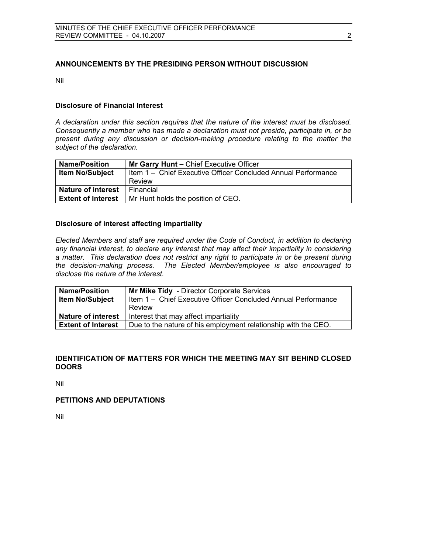## **ANNOUNCEMENTS BY THE PRESIDING PERSON WITHOUT DISCUSSION**

Nil

## **Disclosure of Financial Interest**

*A declaration under this section requires that the nature of the interest must be disclosed. Consequently a member who has made a declaration must not preside, participate in, or be present during any discussion or decision-making procedure relating to the matter the subject of the declaration.* 

| <b>Name/Position</b>      | Mr Garry Hunt - Chief Executive Officer                       |
|---------------------------|---------------------------------------------------------------|
| <b>Item No/Subject</b>    | Item 1 - Chief Executive Officer Concluded Annual Performance |
|                           | Review                                                        |
| <b>Nature of interest</b> | Financial                                                     |
| <b>Extent of Interest</b> | Mr Hunt holds the position of CEO.                            |

## **Disclosure of interest affecting impartiality**

*Elected Members and staff are required under the Code of Conduct, in addition to declaring any financial interest, to declare any interest that may affect their impartiality in considering a matter. This declaration does not restrict any right to participate in or be present during the decision-making process. The Elected Member/employee is also encouraged to disclose the nature of the interest.* 

| <b>Name/Position</b>      | <b>Mr Mike Tidy</b> - Director Corporate Services              |
|---------------------------|----------------------------------------------------------------|
| <b>Item No/Subject</b>    | Item 1 - Chief Executive Officer Concluded Annual Performance  |
|                           | Review                                                         |
| Nature of interest        | Interest that may affect impartiality                          |
| <b>Extent of Interest</b> | Due to the nature of his employment relationship with the CEO. |

## **IDENTIFICATION OF MATTERS FOR WHICH THE MEETING MAY SIT BEHIND CLOSED DOORS**

Nil

## **PETITIONS AND DEPUTATIONS**

Nil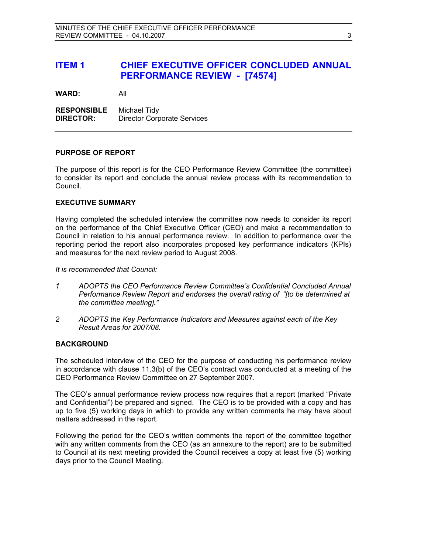## **ITEM 1 CHIEF EXECUTIVE OFFICER CONCLUDED ANNUAL PERFORMANCE REVIEW - [74574]**

**WARD:** All

**RESPONSIBLE** Michael Tidy **DIRECTOR:** Director Corporate Services

#### **PURPOSE OF REPORT**

The purpose of this report is for the CEO Performance Review Committee (the committee) to consider its report and conclude the annual review process with its recommendation to Council.

## **EXECUTIVE SUMMARY**

Having completed the scheduled interview the committee now needs to consider its report on the performance of the Chief Executive Officer (CEO) and make a recommendation to Council in relation to his annual performance review. In addition to performance over the reporting period the report also incorporates proposed key performance indicators (KPIs) and measures for the next review period to August 2008.

*It is recommended that Council:* 

- *1 ADOPTS the CEO Performance Review Committee's Confidential Concluded Annual Performance Review Report and endorses the overall rating of "[to be determined at the committee meeting]."*
- *2 ADOPTS the Key Performance Indicators and Measures against each of the Key Result Areas for 2007/08.*

## **BACKGROUND**

The scheduled interview of the CEO for the purpose of conducting his performance review in accordance with clause 11.3(b) of the CEO's contract was conducted at a meeting of the CEO Performance Review Committee on 27 September 2007.

The CEO's annual performance review process now requires that a report (marked "Private and Confidential") be prepared and signed. The CEO is to be provided with a copy and has up to five (5) working days in which to provide any written comments he may have about matters addressed in the report.

Following the period for the CEO's written comments the report of the committee together with any written comments from the CEO (as an annexure to the report) are to be submitted to Council at its next meeting provided the Council receives a copy at least five (5) working days prior to the Council Meeting.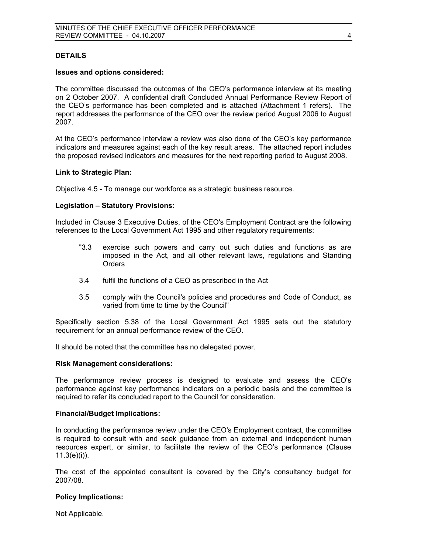## **DETAILS**

### **Issues and options considered:**

The committee discussed the outcomes of the CEO's performance interview at its meeting on 2 October 2007. A confidential draft Concluded Annual Performance Review Report of the CEO's performance has been completed and is attached (Attachment 1 refers). The report addresses the performance of the CEO over the review period August 2006 to August 2007.

At the CEO's performance interview a review was also done of the CEO's key performance indicators and measures against each of the key result areas. The attached report includes the proposed revised indicators and measures for the next reporting period to August 2008.

#### **Link to Strategic Plan:**

Objective 4.5 - To manage our workforce as a strategic business resource.

#### **Legislation – Statutory Provisions:**

Included in Clause 3 Executive Duties, of the CEO's Employment Contract are the following references to the Local Government Act 1995 and other regulatory requirements:

- "3.3 exercise such powers and carry out such duties and functions as are imposed in the Act, and all other relevant laws, regulations and Standing Orders
- 3.4 fulfil the functions of a CEO as prescribed in the Act
- 3.5 comply with the Council's policies and procedures and Code of Conduct, as varied from time to time by the Council"

Specifically section 5.38 of the Local Government Act 1995 sets out the statutory requirement for an annual performance review of the CEO.

It should be noted that the committee has no delegated power.

#### **Risk Management considerations:**

The performance review process is designed to evaluate and assess the CEO's performance against key performance indicators on a periodic basis and the committee is required to refer its concluded report to the Council for consideration.

#### **Financial/Budget Implications:**

In conducting the performance review under the CEO's Employment contract, the committee is required to consult with and seek guidance from an external and independent human resources expert, or similar, to facilitate the review of the CEO's performance (Clause  $11.3(e)(i)$ .

The cost of the appointed consultant is covered by the City's consultancy budget for 2007/08.

## **Policy Implications:**

Not Applicable.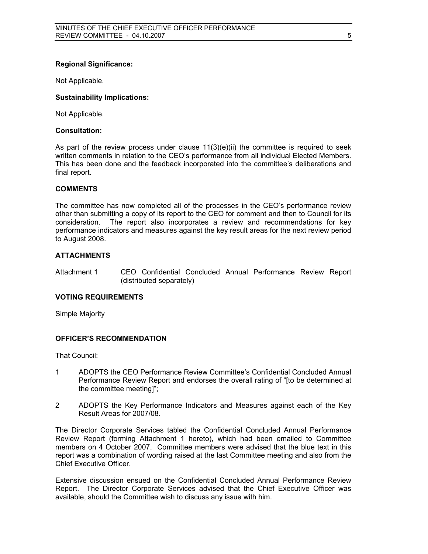## **Regional Significance:**

Not Applicable.

## **Sustainability Implications:**

Not Applicable.

#### **Consultation:**

As part of the review process under clause  $11(3)(e)(ii)$  the committee is required to seek written comments in relation to the CEO's performance from all individual Elected Members. This has been done and the feedback incorporated into the committee's deliberations and final report.

## **COMMENTS**

The committee has now completed all of the processes in the CEO's performance review other than submitting a copy of its report to the CEO for comment and then to Council for its consideration. The report also incorporates a review and recommendations for key performance indicators and measures against the key result areas for the next review period to August 2008.

## **ATTACHMENTS**

Attachment 1 CEO Confidential Concluded Annual Performance Review Report (distributed separately)

#### **VOTING REQUIREMENTS**

Simple Majority

## **OFFICER'S RECOMMENDATION**

That Council:

- 1 ADOPTS the CEO Performance Review Committee's Confidential Concluded Annual Performance Review Report and endorses the overall rating of "[to be determined at the committee meeting]";
- 2 ADOPTS the Key Performance Indicators and Measures against each of the Key Result Areas for 2007/08.

The Director Corporate Services tabled the Confidential Concluded Annual Performance Review Report (forming Attachment 1 hereto), which had been emailed to Committee members on 4 October 2007. Committee members were advised that the blue text in this report was a combination of wording raised at the last Committee meeting and also from the Chief Executive Officer.

Extensive discussion ensued on the Confidential Concluded Annual Performance Review Report. The Director Corporate Services advised that the Chief Executive Officer was available, should the Committee wish to discuss any issue with him.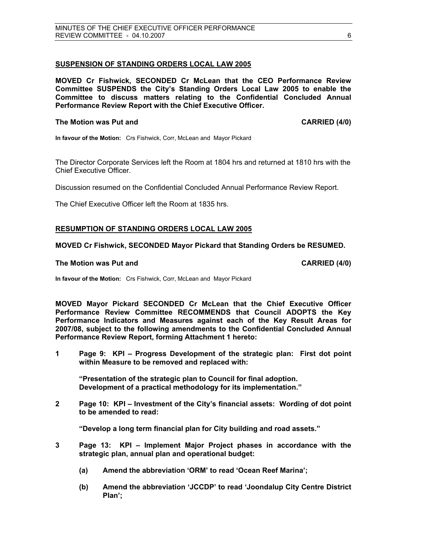## **SUSPENSION OF STANDING ORDERS LOCAL LAW 2005**

**MOVED Cr Fishwick, SECONDED Cr McLean that the CEO Performance Review Committee SUSPENDS the City's Standing Orders Local Law 2005 to enable the Committee to discuss matters relating to the Confidential Concluded Annual Performance Review Report with the Chief Executive Officer.** 

#### **The Motion was Put and CARRIED (4/0) CARRIED (4/0)**

**In favour of the Motion:** Crs Fishwick, Corr, McLean and Mayor Pickard

The Director Corporate Services left the Room at 1804 hrs and returned at 1810 hrs with the Chief Executive Officer.

Discussion resumed on the Confidential Concluded Annual Performance Review Report.

The Chief Executive Officer left the Room at 1835 hrs.

## **RESUMPTION OF STANDING ORDERS LOCAL LAW 2005**

## **MOVED Cr Fishwick, SECONDED Mayor Pickard that Standing Orders be RESUMED.**

#### **The Motion was Put and CARRIED (4/0) CARRIED (4/0)**

**In favour of the Motion:** Crs Fishwick, Corr, McLean and Mayor Pickard

**MOVED Mayor Pickard SECONDED Cr McLean that the Chief Executive Officer Performance Review Committee RECOMMENDS that Council ADOPTS the Key Performance Indicators and Measures against each of the Key Result Areas for 2007/08, subject to the following amendments to the Confidential Concluded Annual Performance Review Report, forming Attachment 1 hereto:** 

**1 Page 9: KPI – Progress Development of the strategic plan: First dot point within Measure to be removed and replaced with:** 

**"Presentation of the strategic plan to Council for final adoption. Development of a practical methodology for its implementation."** 

**2 Page 10: KPI – Investment of the City's financial assets: Wording of dot point to be amended to read:** 

**"Develop a long term financial plan for City building and road assets."** 

- **3 Page 13: KPI Implement Major Project phases in accordance with the strategic plan, annual plan and operational budget:** 
	- **(a) Amend the abbreviation 'ORM' to read 'Ocean Reef Marina';**
	- **(b) Amend the abbreviation 'JCCDP' to read 'Joondalup City Centre District Plan';**